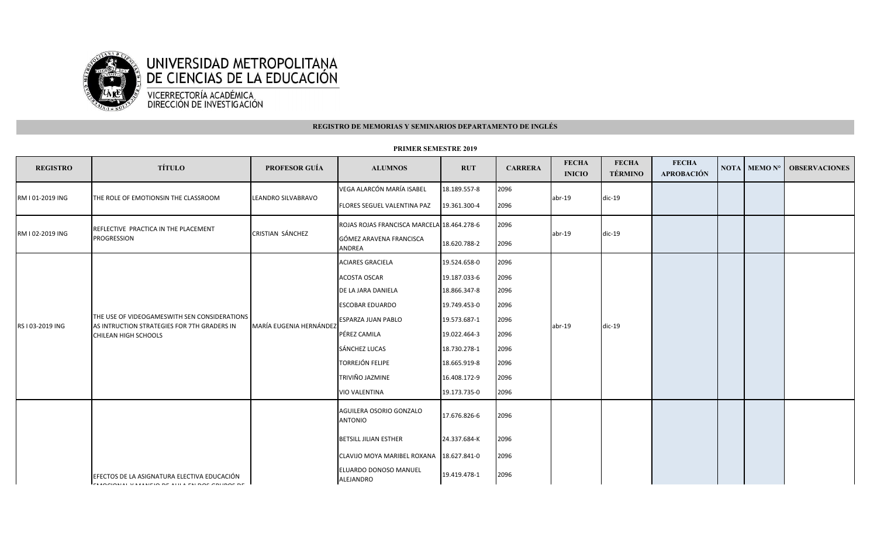

## **REGISTRO DE MEMORIAS Y SEMINARIOS DEPARTAMENTO DE INGLÉS**

| <b>REGISTRO</b>  | <b>TÍTULO</b>                                                                                                       | <b>PROFESOR GUÍA</b>    | <b>ALUMNOS</b>                             | <b>RUT</b>   | <b>CARRERA</b> | <b>FECHA</b><br><b>INICIO</b> | <b>FECHA</b><br><b>TÉRMINO</b> | <b>FECHA</b><br><b>APROBACIÓN</b> | NOTA MEMO Nº | <b>OBSERVACIONES</b> |
|------------------|---------------------------------------------------------------------------------------------------------------------|-------------------------|--------------------------------------------|--------------|----------------|-------------------------------|--------------------------------|-----------------------------------|--------------|----------------------|
| RM I 01-2019 ING | THE ROLE OF EMOTIONSIN THE CLASSROOM                                                                                | LEANDRO SILVABRAVO      | VEGA ALARCÓN MARÍA ISABEL                  | 18.189.557-8 | 2096           | $abr-19$                      | $dic-19$                       |                                   |              |                      |
|                  |                                                                                                                     |                         | FLORES SEGUEL VALENTINA PAZ                | 19.361.300-4 | 2096           |                               |                                |                                   |              |                      |
| RM I 02-2019 ING | REFLECTIVE PRACTICA IN THE PLACEMENT<br><b>PROGRESSION</b>                                                          | CRISTIAN SÁNCHEZ        | ROJAS ROJAS FRANCISCA MARCELA 18.464.278-6 |              | 2096           | $abr-19$                      | $dic-19$                       |                                   |              |                      |
|                  |                                                                                                                     |                         | GÓMEZ ARAVENA FRANCISCA<br><b>ANDREA</b>   | 18.620.788-2 | 2096           |                               |                                |                                   |              |                      |
| RS I 03-2019 ING | THE USE OF VIDEOGAMESWITH SEN CONSIDERATIONS<br>AS INTRUCTION STRATEGIES FOR 7TH GRADERS IN<br>CHILEAN HIGH SCHOOLS | MARÍA EUGENIA HERNÁNDEZ | <b>ACIARES GRACIELA</b>                    | 19.524.658-0 | 2096           | $abr-19$                      | $dic-19$                       |                                   |              |                      |
|                  |                                                                                                                     |                         | <b>ACOSTA OSCAR</b>                        | 19.187.033-6 | 2096           |                               |                                |                                   |              |                      |
|                  |                                                                                                                     |                         | DE LA JARA DANIELA                         | 18.866.347-8 | 2096           |                               |                                |                                   |              |                      |
|                  |                                                                                                                     |                         | <b>ESCOBAR EDUARDO</b>                     | 19.749.453-0 | 2096           |                               |                                |                                   |              |                      |
|                  |                                                                                                                     |                         | <b>ESPARZA JUAN PABLO</b>                  | 19.573.687-1 | 2096           |                               |                                |                                   |              |                      |
|                  |                                                                                                                     |                         | PÉREZ CAMILA                               | 19.022.464-3 | 2096           |                               |                                |                                   |              |                      |
|                  |                                                                                                                     |                         | SÁNCHEZ LUCAS                              | 18.730.278-1 | 2096           |                               |                                |                                   |              |                      |
|                  |                                                                                                                     |                         | <b>TORREJÓN FELIPE</b>                     | 18.665.919-8 | 2096           |                               |                                |                                   |              |                      |
|                  |                                                                                                                     |                         | TRIVIÑO JAZMINE                            | 16.408.172-9 | 2096           |                               |                                |                                   |              |                      |
|                  |                                                                                                                     |                         | <b>VIO VALENTINA</b>                       | 19.173.735-0 | 2096           |                               |                                |                                   |              |                      |
|                  |                                                                                                                     |                         | AGUILERA OSORIO GONZALO<br><b>ANTONIO</b>  | 17.676.826-6 | 2096           |                               |                                |                                   |              |                      |
|                  |                                                                                                                     |                         | <b>BETSILL JILIAN ESTHER</b>               | 24.337.684-K | 2096           |                               |                                |                                   |              |                      |
|                  |                                                                                                                     |                         | CLAVIJO MOYA MARIBEL ROXANA 18.627.841-0   |              | 2096           |                               |                                |                                   |              |                      |
|                  | EFECTOS DE LA ASIGNATURA ELECTIVA EDUCACIÓN<br><u>La raalamin wirisleid de rui riel daa adudaa de </u>              |                         | ELUARDO DONOSO MANUEL<br>ALEJANDRO         | 19.419.478-1 | 2096           |                               |                                |                                   |              |                      |

## **PRIMER SEMESTRE 2019**